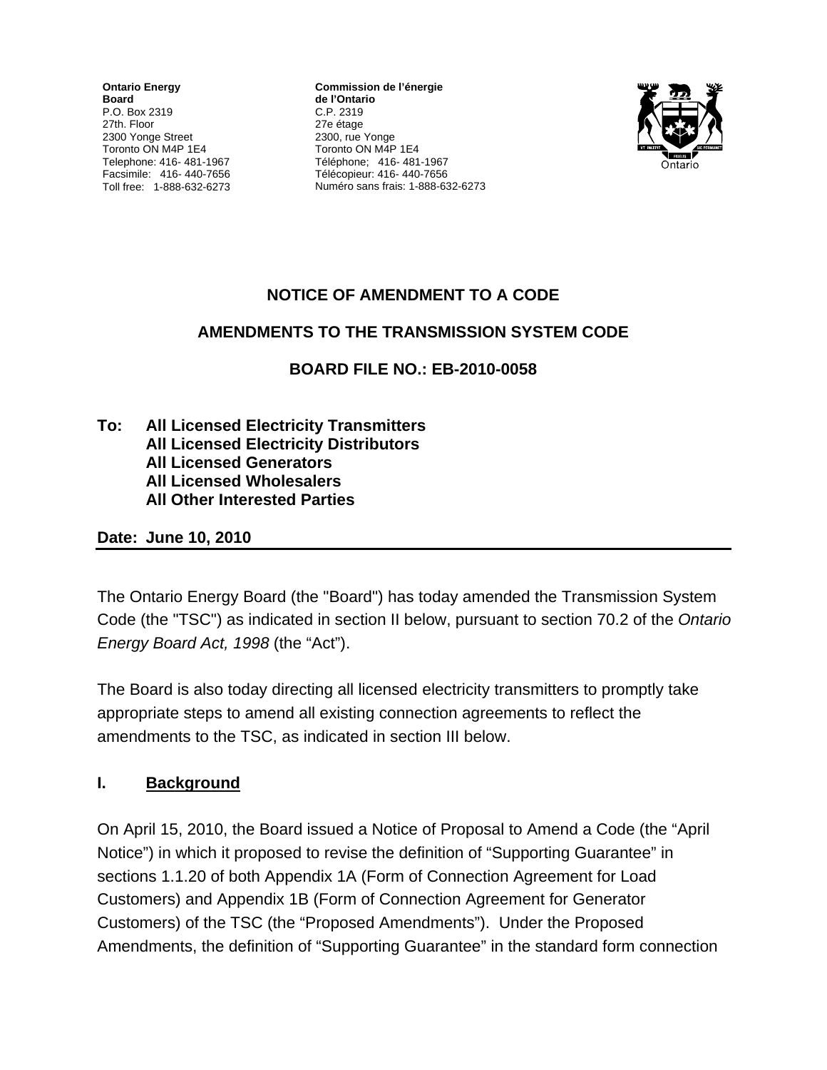**Ontario Energy Board**  P.O. Box 2319 27th. Floor 2300 Yonge Street Toronto ON M4P 1E4 Telephone: 416- 481-1967 Facsimile: 416- 440-7656 Toll free: 1-888-632-6273

**Commission de l'énergie de l'Ontario** C.P. 2319 27e étage 2300, rue Yonge Toronto ON M4P 1E4 Téléphone; 416- 481-1967 Télécopieur: 416- 440-7656 Numéro sans frais: 1-888-632-6273



# **NOTICE OF AMENDMENT TO A CODE**

#### **AMENDMENTS TO THE TRANSMISSION SYSTEM CODE**

**BOARD FILE NO.: EB-2010-0058**

**To: All Licensed Electricity Transmitters All Licensed Electricity Distributors All Licensed Generators All Licensed Wholesalers All Other Interested Parties** 

**Date: June 10, 2010** 

The Ontario Energy Board (the "Board") has today amended the Transmission System Code (the "TSC") as indicated in section II below, pursuant to section 70.2 of the *Ontario Energy Board Act, 1998* (the "Act").

The Board is also today directing all licensed electricity transmitters to promptly take appropriate steps to amend all existing connection agreements to reflect the amendments to the TSC, as indicated in section III below.

### **I. Background**

On April 15, 2010, the Board issued a Notice of Proposal to Amend a Code (the "April Notice") in which it proposed to revise the definition of "Supporting Guarantee" in sections 1.1.20 of both Appendix 1A (Form of Connection Agreement for Load Customers) and Appendix 1B (Form of Connection Agreement for Generator Customers) of the TSC (the "Proposed Amendments"). Under the Proposed Amendments, the definition of "Supporting Guarantee" in the standard form connection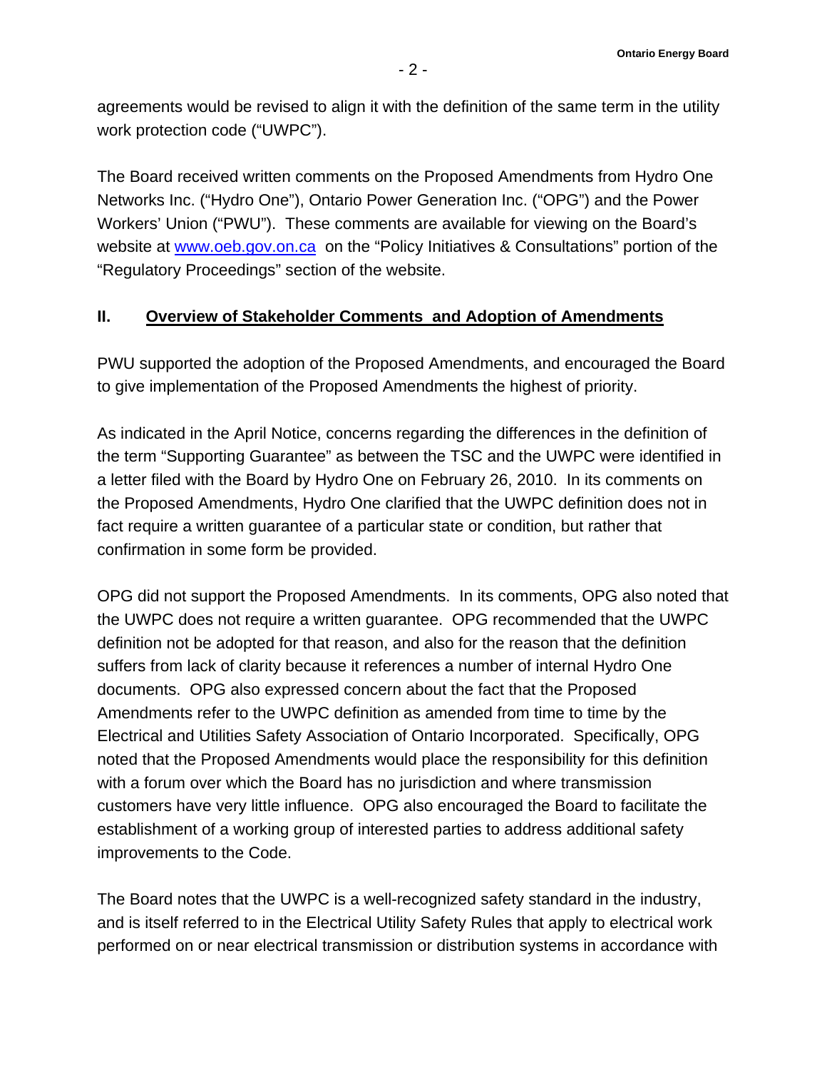agreements would be revised to align it with the definition of the same term in the utility work protection code ("UWPC").

The Board received written comments on the Proposed Amendments from Hydro One Networks Inc. ("Hydro One"), Ontario Power Generation Inc. ("OPG") and the Power Workers' Union ("PWU"). These comments are available for viewing on the Board's website at [www.oeb.gov.on.ca](http://www.oeb.gov.on.ca/) on the "Policy Initiatives & Consultations" portion of the "Regulatory Proceedings" section of the website.

#### **II. Overview of Stakeholder Comments and Adoption of Amendments**

PWU supported the adoption of the Proposed Amendments, and encouraged the Board to give implementation of the Proposed Amendments the highest of priority.

As indicated in the April Notice, concerns regarding the differences in the definition of the term "Supporting Guarantee" as between the TSC and the UWPC were identified in a letter filed with the Board by Hydro One on February 26, 2010. In its comments on the Proposed Amendments, Hydro One clarified that the UWPC definition does not in fact require a written guarantee of a particular state or condition, but rather that confirmation in some form be provided.

OPG did not support the Proposed Amendments. In its comments, OPG also noted that the UWPC does not require a written guarantee. OPG recommended that the UWPC definition not be adopted for that reason, and also for the reason that the definition suffers from lack of clarity because it references a number of internal Hydro One documents. OPG also expressed concern about the fact that the Proposed Amendments refer to the UWPC definition as amended from time to time by the Electrical and Utilities Safety Association of Ontario Incorporated. Specifically, OPG noted that the Proposed Amendments would place the responsibility for this definition with a forum over which the Board has no jurisdiction and where transmission customers have very little influence. OPG also encouraged the Board to facilitate the establishment of a working group of interested parties to address additional safety improvements to the Code.

The Board notes that the UWPC is a well-recognized safety standard in the industry, and is itself referred to in the Electrical Utility Safety Rules that apply to electrical work performed on or near electrical transmission or distribution systems in accordance with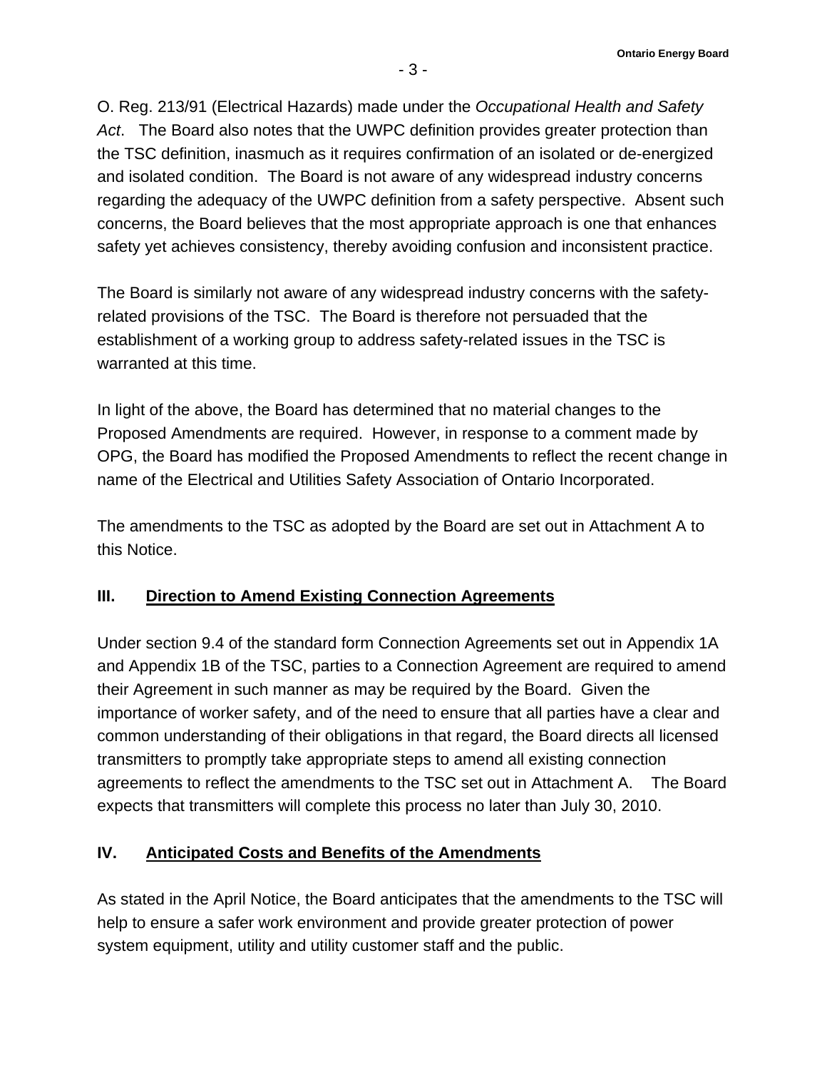O. Reg. 213/91 (Electrical Hazards) made under the *Occupational Health and Safety Act*. The Board also notes that the UWPC definition provides greater protection than the TSC definition, inasmuch as it requires confirmation of an isolated or de-energized and isolated condition. The Board is not aware of any widespread industry concerns regarding the adequacy of the UWPC definition from a safety perspective. Absent such concerns, the Board believes that the most appropriate approach is one that enhances safety yet achieves consistency, thereby avoiding confusion and inconsistent practice.

The Board is similarly not aware of any widespread industry concerns with the safetyrelated provisions of the TSC. The Board is therefore not persuaded that the establishment of a working group to address safety-related issues in the TSC is warranted at this time.

In light of the above, the Board has determined that no material changes to the Proposed Amendments are required. However, in response to a comment made by OPG, the Board has modified the Proposed Amendments to reflect the recent change in name of the Electrical and Utilities Safety Association of Ontario Incorporated.

The amendments to the TSC as adopted by the Board are set out in Attachment A to this Notice.

### **III. Direction to Amend Existing Connection Agreements**

Under section 9.4 of the standard form Connection Agreements set out in Appendix 1A and Appendix 1B of the TSC, parties to a Connection Agreement are required to amend their Agreement in such manner as may be required by the Board. Given the importance of worker safety, and of the need to ensure that all parties have a clear and common understanding of their obligations in that regard, the Board directs all licensed transmitters to promptly take appropriate steps to amend all existing connection agreements to reflect the amendments to the TSC set out in Attachment A. The Board expects that transmitters will complete this process no later than July 30, 2010.

# **IV. Anticipated Costs and Benefits of the Amendments**

As stated in the April Notice, the Board anticipates that the amendments to the TSC will help to ensure a safer work environment and provide greater protection of power system equipment, utility and utility customer staff and the public.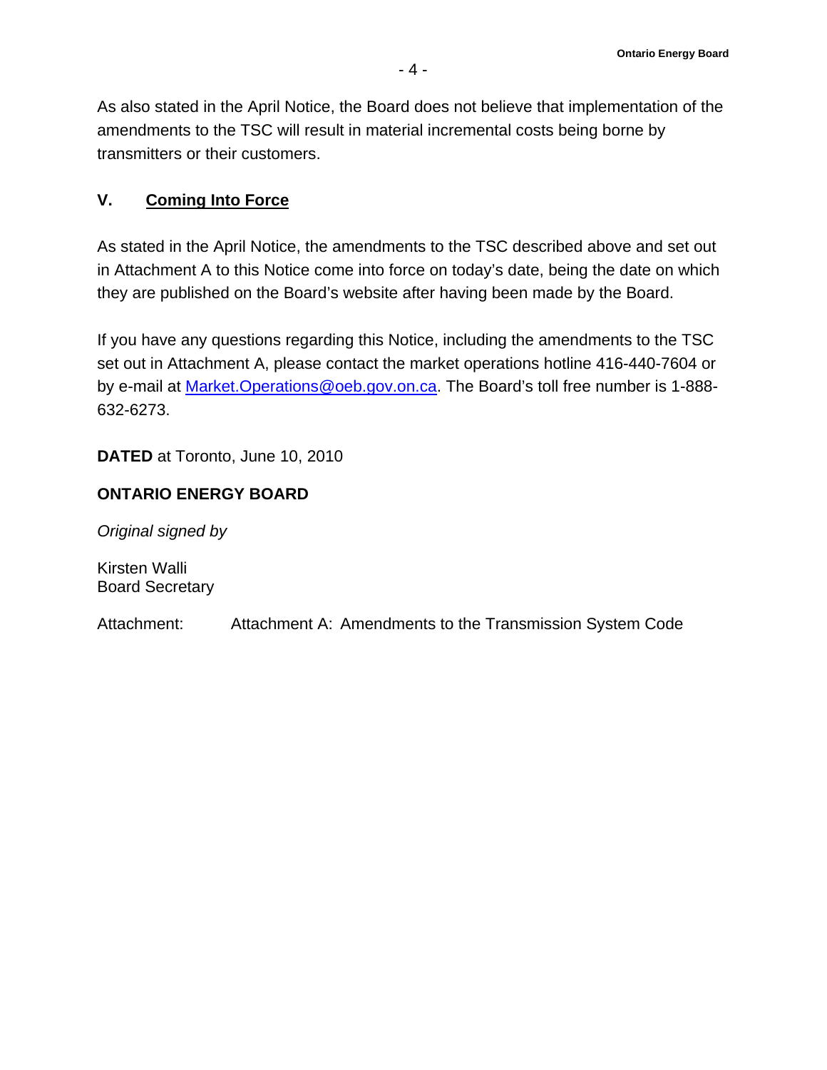As also stated in the April Notice, the Board does not believe that implementation of the amendments to the TSC will result in material incremental costs being borne by transmitters or their customers.

### **V. Coming Into Force**

As stated in the April Notice, the amendments to the TSC described above and set out in Attachment A to this Notice come into force on today's date, being the date on which they are published on the Board's website after having been made by the Board.

If you have any questions regarding this Notice, including the amendments to the TSC set out in Attachment A, please contact the market operations hotline 416-440-7604 or by e-mail at [Market.Operations@oeb.gov.on.ca.](mailto:Market.Operations@oeb.gov.on.ca) The Board's toll free number is 1-888- 632-6273.

**DATED** at Toronto, June 10, 2010

### **ONTARIO ENERGY BOARD**

*Original signed by* 

Kirsten Walli Board Secretary

Attachment: Attachment A: Amendments to the Transmission System Code